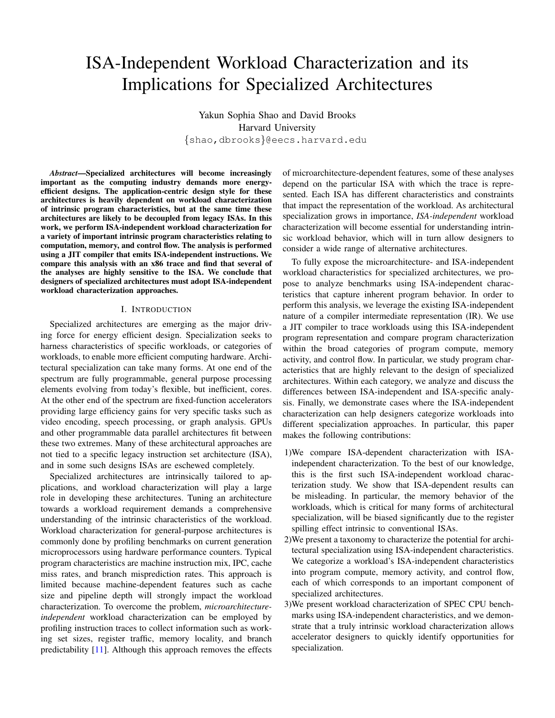# ISA-Independent Workload Characterization and its Implications for Specialized Architectures

Yakun Sophia Shao and David Brooks Harvard University {shao,dbrooks}@eecs.harvard.edu

*Abstract*—Specialized architectures will become increasingly important as the computing industry demands more energyefficient designs. The application-centric design style for these architectures is heavily dependent on workload characterization of intrinsic program characteristics, but at the same time these architectures are likely to be decoupled from legacy ISAs. In this work, we perform ISA-independent workload characterization for a variety of important intrinsic program characteristics relating to computation, memory, and control flow. The analysis is performed using a JIT compiler that emits ISA-independent instructions. We compare this analysis with an x86 trace and find that several of the analyses are highly sensitive to the ISA. We conclude that designers of specialized architectures must adopt ISA-independent workload characterization approaches.

## I. INTRODUCTION

Specialized architectures are emerging as the major driving force for energy efficient design. Specialization seeks to harness characteristics of specific workloads, or categories of workloads, to enable more efficient computing hardware. Architectural specialization can take many forms. At one end of the spectrum are fully programmable, general purpose processing elements evolving from today's flexible, but inefficient, cores. At the other end of the spectrum are fixed-function accelerators providing large efficiency gains for very specific tasks such as video encoding, speech processing, or graph analysis. GPUs and other programmable data parallel architectures fit between these two extremes. Many of these architectural approaches are not tied to a specific legacy instruction set architecture (ISA), and in some such designs ISAs are eschewed completely.

Specialized architectures are intrinsically tailored to applications, and workload characterization will play a large role in developing these architectures. Tuning an architecture towards a workload requirement demands a comprehensive understanding of the intrinsic characteristics of the workload. Workload characterization for general-purpose architectures is commonly done by profiling benchmarks on current generation microprocessors using hardware performance counters. Typical program characteristics are machine instruction mix, IPC, cache miss rates, and branch misprediction rates. This approach is limited because machine-dependent features such as cache size and pipeline depth will strongly impact the workload characterization. To overcome the problem, *microarchitectureindependent* workload characterization can be employed by profiling instruction traces to collect information such as working set sizes, register traffic, memory locality, and branch predictability [\[11\]](#page-10-0). Although this approach removes the effects

of microarchitecture-dependent features, some of these analyses depend on the particular ISA with which the trace is represented. Each ISA has different characteristics and constraints that impact the representation of the workload. As architectural specialization grows in importance, *ISA-independent* workload characterization will become essential for understanding intrinsic workload behavior, which will in turn allow designers to consider a wide range of alternative architectures.

To fully expose the microarchitecture- and ISA-independent workload characteristics for specialized architectures, we propose to analyze benchmarks using ISA-independent characteristics that capture inherent program behavior. In order to perform this analysis, we leverage the existing ISA-independent nature of a compiler intermediate representation (IR). We use a JIT compiler to trace workloads using this ISA-independent program representation and compare program characterization within the broad categories of program compute, memory activity, and control flow. In particular, we study program characteristics that are highly relevant to the design of specialized architectures. Within each category, we analyze and discuss the differences between ISA-independent and ISA-specific analysis. Finally, we demonstrate cases where the ISA-independent characterization can help designers categorize workloads into different specialization approaches. In particular, this paper makes the following contributions:

- 1)We compare ISA-dependent characterization with ISAindependent characterization. To the best of our knowledge, this is the first such ISA-independent workload characterization study. We show that ISA-dependent results can be misleading. In particular, the memory behavior of the workloads, which is critical for many forms of architectural specialization, will be biased significantly due to the register spilling effect intrinsic to conventional ISAs.
- 2)We present a taxonomy to characterize the potential for architectural specialization using ISA-independent characteristics. We categorize a workload's ISA-independent characteristics into program compute, memory activity, and control flow, each of which corresponds to an important component of specialized architectures.
- 3)We present workload characterization of SPEC CPU benchmarks using ISA-independent characteristics, and we demonstrate that a truly intrinsic workload characterization allows accelerator designers to quickly identify opportunities for specialization.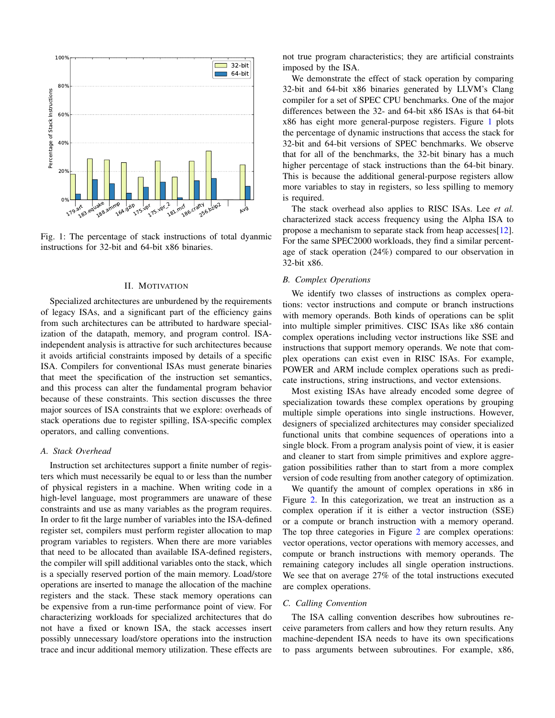<span id="page-1-0"></span>

Fig. 1: The percentage of stack instructions of total dyanmic instructions for 32-bit and 64-bit x86 binaries.

#### II. MOTIVATION

<span id="page-1-1"></span>Specialized architectures are unburdened by the requirements of legacy ISAs, and a significant part of the efficiency gains from such architectures can be attributed to hardware specialization of the datapath, memory, and program control. ISAindependent analysis is attractive for such architectures because it avoids artificial constraints imposed by details of a specific ISA. Compilers for conventional ISAs must generate binaries that meet the specification of the instruction set semantics, and this process can alter the fundamental program behavior because of these constraints. This section discusses the three major sources of ISA constraints that we explore: overheads of stack operations due to register spilling, ISA-specific complex operators, and calling conventions.

## *A. Stack Overhead*

Instruction set architectures support a finite number of registers which must necessarily be equal to or less than the number of physical registers in a machine. When writing code in a high-level language, most programmers are unaware of these constraints and use as many variables as the program requires. In order to fit the large number of variables into the ISA-defined register set, compilers must perform register allocation to map program variables to registers. When there are more variables that need to be allocated than available ISA-defined registers, the compiler will spill additional variables onto the stack, which is a specially reserved portion of the main memory. Load/store operations are inserted to manage the allocation of the machine registers and the stack. These stack memory operations can be expensive from a run-time performance point of view. For characterizing workloads for specialized architectures that do not have a fixed or known ISA, the stack accesses insert possibly unnecessary load/store operations into the instruction trace and incur additional memory utilization. These effects are not true program characteristics; they are artificial constraints imposed by the ISA.

We demonstrate the effect of stack operation by comparing 32-bit and 64-bit x86 binaries generated by LLVM's Clang compiler for a set of SPEC CPU benchmarks. One of the major differences between the 32- and 64-bit x86 ISAs is that 64-bit x86 has eight more general-purpose registers. Figure [1](#page-1-0) plots the percentage of dynamic instructions that access the stack for 32-bit and 64-bit versions of SPEC benchmarks. We observe that for all of the benchmarks, the 32-bit binary has a much higher percentage of stack instructions than the 64-bit binary. This is because the additional general-purpose registers allow more variables to stay in registers, so less spilling to memory is required.

The stack overhead also applies to RISC ISAs. Lee *et al.* characterized stack access frequency using the Alpha ISA to propose a mechanism to separate stack from heap accesses[\[12\]](#page-10-1). For the same SPEC2000 workloads, they find a similar percentage of stack operation (24%) compared to our observation in 32-bit x86.

# *B. Complex Operations*

We identify two classes of instructions as complex operations: vector instructions and compute or branch instructions with memory operands. Both kinds of operations can be split into multiple simpler primitives. CISC ISAs like x86 contain complex operations including vector instructions like SSE and instructions that support memory operands. We note that complex operations can exist even in RISC ISAs. For example, POWER and ARM include complex operations such as predicate instructions, string instructions, and vector extensions.

Most existing ISAs have already encoded some degree of specialization towards these complex operations by grouping multiple simple operations into single instructions. However, designers of specialized architectures may consider specialized functional units that combine sequences of operations into a single block. From a program analysis point of view, it is easier and cleaner to start from simple primitives and explore aggregation possibilities rather than to start from a more complex version of code resulting from another category of optimization.

We quantify the amount of complex operations in x86 in Figure [2.](#page-2-0) In this categorization, we treat an instruction as a complex operation if it is either a vector instruction (SSE) or a compute or branch instruction with a memory operand. The top three categories in Figure [2](#page-2-0) are complex operations: vector operations, vector operations with memory accesses, and compute or branch instructions with memory operands. The remaining category includes all single operation instructions. We see that on average 27% of the total instructions executed are complex operations.

# *C. Calling Convention*

The ISA calling convention describes how subroutines receive parameters from callers and how they return results. Any machine-dependent ISA needs to have its own specifications to pass arguments between subroutines. For example, x86,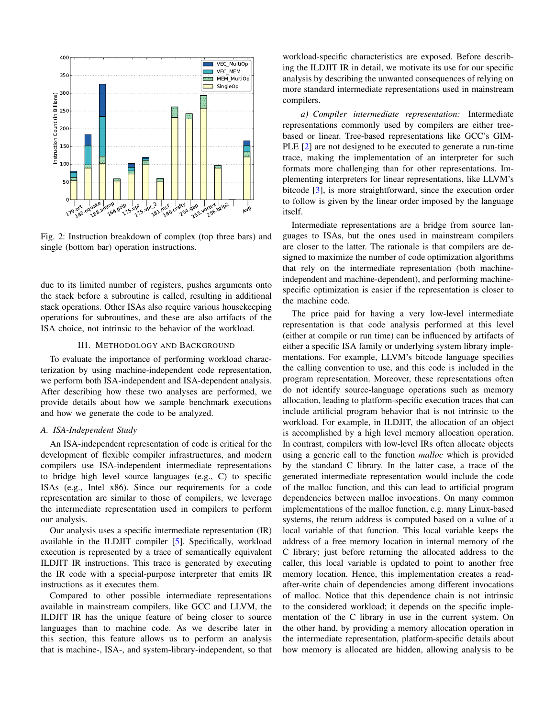<span id="page-2-0"></span>

Fig. 2: Instruction breakdown of complex (top three bars) and single (bottom bar) operation instructions.

due to its limited number of registers, pushes arguments onto the stack before a subroutine is called, resulting in additional stack operations. Other ISAs also require various housekeeping operations for subroutines, and these are also artifacts of the ISA choice, not intrinsic to the behavior of the workload.

# III. METHODOLOGY AND BACKGROUND

To evaluate the importance of performing workload characterization by using machine-independent code representation, we perform both ISA-independent and ISA-dependent analysis. After describing how these two analyses are performed, we provide details about how we sample benchmark executions and how we generate the code to be analyzed.

#### *A. ISA-Independent Study*

An ISA-independent representation of code is critical for the development of flexible compiler infrastructures, and modern compilers use ISA-independent intermediate representations to bridge high level source languages (e.g., C) to specific ISAs (e.g., Intel x86). Since our requirements for a code representation are similar to those of compilers, we leverage the intermediate representation used in compilers to perform our analysis.

Our analysis uses a specific intermediate representation (IR) available in the ILDJIT compiler [\[5\]](#page-10-2). Specifically, workload execution is represented by a trace of semantically equivalent ILDJIT IR instructions. This trace is generated by executing the IR code with a special-purpose interpreter that emits IR instructions as it executes them.

Compared to other possible intermediate representations available in mainstream compilers, like GCC and LLVM, the ILDJIT IR has the unique feature of being closer to source languages than to machine code. As we describe later in this section, this feature allows us to perform an analysis that is machine-, ISA-, and system-library-independent, so that

workload-specific characteristics are exposed. Before describing the ILDJIT IR in detail, we motivate its use for our specific analysis by describing the unwanted consequences of relying on more standard intermediate representations used in mainstream compilers.

*a) Compiler intermediate representation:* Intermediate representations commonly used by compilers are either treebased or linear. Tree-based representations like GCC's GIM-PLE [\[2\]](#page-10-3) are not designed to be executed to generate a run-time trace, making the implementation of an interpreter for such formats more challenging than for other representations. Implementing interpreters for linear representations, like LLVM's bitcode [\[3\]](#page-10-4), is more straightforward, since the execution order to follow is given by the linear order imposed by the language itself.

Intermediate representations are a bridge from source languages to ISAs, but the ones used in mainstream compilers are closer to the latter. The rationale is that compilers are designed to maximize the number of code optimization algorithms that rely on the intermediate representation (both machineindependent and machine-dependent), and performing machinespecific optimization is easier if the representation is closer to the machine code.

The price paid for having a very low-level intermediate representation is that code analysis performed at this level (either at compile or run time) can be influenced by artifacts of either a specific ISA family or underlying system library implementations. For example, LLVM's bitcode language specifies the calling convention to use, and this code is included in the program representation. Moreover, these representations often do not identify source-language operations such as memory allocation, leading to platform-specific execution traces that can include artificial program behavior that is not intrinsic to the workload. For example, in ILDJIT, the allocation of an object is accomplished by a high level memory allocation operation. In contrast, compilers with low-level IRs often allocate objects using a generic call to the function *malloc* which is provided by the standard C library. In the latter case, a trace of the generated intermediate representation would include the code of the malloc function, and this can lead to artificial program dependencies between malloc invocations. On many common implementations of the malloc function, e.g. many Linux-based systems, the return address is computed based on a value of a local variable of that function. This local variable keeps the address of a free memory location in internal memory of the C library; just before returning the allocated address to the caller, this local variable is updated to point to another free memory location. Hence, this implementation creates a readafter-write chain of dependencies among different invocations of malloc. Notice that this dependence chain is not intrinsic to the considered workload; it depends on the specific implementation of the C library in use in the current system. On the other hand, by providing a memory allocation operation in the intermediate representation, platform-specific details about how memory is allocated are hidden, allowing analysis to be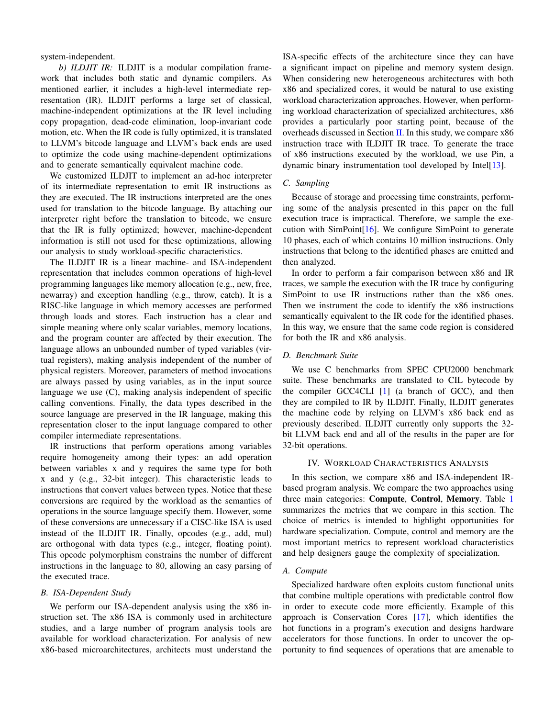system-independent.

*b) ILDJIT IR:* ILDJIT is a modular compilation framework that includes both static and dynamic compilers. As mentioned earlier, it includes a high-level intermediate representation (IR). ILDJIT performs a large set of classical, machine-independent optimizations at the IR level including copy propagation, dead-code elimination, loop-invariant code motion, etc. When the IR code is fully optimized, it is translated to LLVM's bitcode language and LLVM's back ends are used to optimize the code using machine-dependent optimizations and to generate semantically equivalent machine code.

We customized ILDJIT to implement an ad-hoc interpreter of its intermediate representation to emit IR instructions as they are executed. The IR instructions interpreted are the ones used for translation to the bitcode language. By attaching our interpreter right before the translation to bitcode, we ensure that the IR is fully optimized; however, machine-dependent information is still not used for these optimizations, allowing our analysis to study workload-specific characteristics.

The ILDJIT IR is a linear machine- and ISA-independent representation that includes common operations of high-level programming languages like memory allocation (e.g., new, free, newarray) and exception handling (e.g., throw, catch). It is a RISC-like language in which memory accesses are performed through loads and stores. Each instruction has a clear and simple meaning where only scalar variables, memory locations, and the program counter are affected by their execution. The language allows an unbounded number of typed variables (virtual registers), making analysis independent of the number of physical registers. Moreover, parameters of method invocations are always passed by using variables, as in the input source language we use (C), making analysis independent of specific calling conventions. Finally, the data types described in the source language are preserved in the IR language, making this representation closer to the input language compared to other compiler intermediate representations.

IR instructions that perform operations among variables require homogeneity among their types: an add operation between variables x and y requires the same type for both x and y (e.g., 32-bit integer). This characteristic leads to instructions that convert values between types. Notice that these conversions are required by the workload as the semantics of operations in the source language specify them. However, some of these conversions are unnecessary if a CISC-like ISA is used instead of the ILDJIT IR. Finally, opcodes (e.g., add, mul) are orthogonal with data types (e.g., integer, floating point). This opcode polymorphism constrains the number of different instructions in the language to 80, allowing an easy parsing of the executed trace.

## *B. ISA-Dependent Study*

We perform our ISA-dependent analysis using the x86 instruction set. The x86 ISA is commonly used in architecture studies, and a large number of program analysis tools are available for workload characterization. For analysis of new x86-based microarchitectures, architects must understand the

ISA-specific effects of the architecture since they can have a significant impact on pipeline and memory system design. When considering new heterogeneous architectures with both x86 and specialized cores, it would be natural to use existing workload characterization approaches. However, when performing workload characterization of specialized architectures, x86 provides a particularly poor starting point, because of the overheads discussed in Section [II.](#page-1-1) In this study, we compare x86 instruction trace with ILDJIT IR trace. To generate the trace of x86 instructions executed by the workload, we use Pin, a dynamic binary instrumentation tool developed by Intel[\[13\]](#page-10-5).

## *C. Sampling*

Because of storage and processing time constraints, performing some of the analysis presented in this paper on the full execution trace is impractical. Therefore, we sample the execution with SimPoint[\[16\]](#page-10-6). We configure SimPoint to generate 10 phases, each of which contains 10 million instructions. Only instructions that belong to the identified phases are emitted and then analyzed.

In order to perform a fair comparison between x86 and IR traces, we sample the execution with the IR trace by configuring SimPoint to use IR instructions rather than the x86 ones. Then we instrument the code to identify the x86 instructions semantically equivalent to the IR code for the identified phases. In this way, we ensure that the same code region is considered for both the IR and x86 analysis.

# *D. Benchmark Suite*

We use C benchmarks from SPEC CPU2000 benchmark suite. These benchmarks are translated to CIL bytecode by the compiler GCC4CLI  $[1]$  (a branch of GCC), and then they are compiled to IR by ILDJIT. Finally, ILDJIT generates the machine code by relying on LLVM's x86 back end as previously described. ILDJIT currently only supports the 32 bit LLVM back end and all of the results in the paper are for 32-bit operations.

## IV. WORKLOAD CHARACTERISTICS ANALYSIS

In this section, we compare x86 and ISA-independent IRbased program analysis. We compare the two approaches using three main categories: Compute, Control, Memory. Table [1](#page-4-0) summarizes the metrics that we compare in this section. The choice of metrics is intended to highlight opportunities for hardware specialization. Compute, control and memory are the most important metrics to represent workload characteristics and help designers gauge the complexity of specialization.

### *A. Compute*

Specialized hardware often exploits custom functional units that combine multiple operations with predictable control flow in order to execute code more efficiently. Example of this approach is Conservation Cores [\[17\]](#page-10-8), which identifies the hot functions in a program's execution and designs hardware accelerators for those functions. In order to uncover the opportunity to find sequences of operations that are amenable to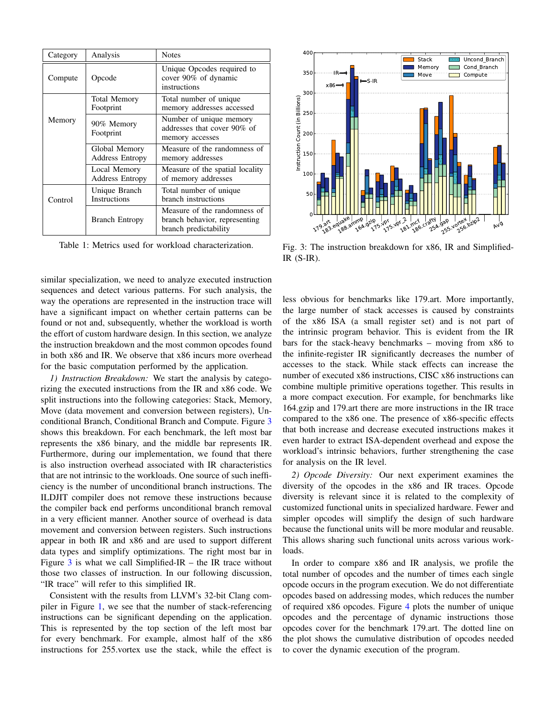<span id="page-4-0"></span>

| Category | Analysis                                | <b>Notes</b>                                                                           |
|----------|-----------------------------------------|----------------------------------------------------------------------------------------|
| Compute  | Opcode                                  | Unique Opcodes required to<br>cover 90% of dynamic<br>instructions                     |
| Memory   | <b>Total Memory</b><br>Footprint        | Total number of unique<br>memory addresses accessed                                    |
|          | 90% Memory<br>Footprint                 | Number of unique memory<br>addresses that cover 90% of<br>memory accesses              |
|          | Global Memory<br><b>Address Entropy</b> | Measure of the randomness of<br>memory addresses                                       |
|          | Local Memory<br><b>Address Entropy</b>  | Measure of the spatial locality<br>of memory addresses                                 |
| Control  | Unique Branch<br>Instructions           | Total number of unique<br>branch instructions                                          |
|          | <b>Branch Entropy</b>                   | Measure of the randomness of<br>branch behavior, representing<br>branch predictability |

Table 1: Metrics used for workload characterization.

similar specialization, we need to analyze executed instruction sequences and detect various patterns. For such analysis, the way the operations are represented in the instruction trace will have a significant impact on whether certain patterns can be found or not and, subsequently, whether the workload is worth the effort of custom hardware design. In this section, we analyze the instruction breakdown and the most common opcodes found in both x86 and IR. We observe that x86 incurs more overhead for the basic computation performed by the application.

*1) Instruction Breakdown:* We start the analysis by categorizing the executed instructions from the IR and x86 code. We split instructions into the following categories: Stack, Memory, Move (data movement and conversion between registers), Unconditional Branch, Conditional Branch and Compute. Figure [3](#page-4-1) shows this breakdown. For each benchmark, the left most bar represents the x86 binary, and the middle bar represents IR. Furthermore, during our implementation, we found that there is also instruction overhead associated with IR characteristics that are not intrinsic to the workloads. One source of such inefficiency is the number of unconditional branch instructions. The ILDJIT compiler does not remove these instructions because the compiler back end performs unconditional branch removal in a very efficient manner. Another source of overhead is data movement and conversion between registers. Such instructions appear in both IR and x86 and are used to support different data types and simplify optimizations. The right most bar in Figure  $3$  is what we call Simplified-IR – the IR trace without those two classes of instruction. In our following discussion, "IR trace" will refer to this simplified IR.

Consistent with the results from LLVM's 32-bit Clang compiler in Figure [1,](#page-1-0) we see that the number of stack-referencing instructions can be significant depending on the application. This is represented by the top section of the left most bar for every benchmark. For example, almost half of the x86 instructions for 255.vortex use the stack, while the effect is

<span id="page-4-1"></span>

Fig. 3: The instruction breakdown for x86, IR and Simplified-IR  $(S-IR)$ .

less obvious for benchmarks like 179.art. More importantly, the large number of stack accesses is caused by constraints of the x86 ISA (a small register set) and is not part of the intrinsic program behavior. This is evident from the IR bars for the stack-heavy benchmarks – moving from x86 to the infinite-register IR significantly decreases the number of accesses to the stack. While stack effects can increase the number of executed x86 instructions, CISC x86 instructions can combine multiple primitive operations together. This results in a more compact execution. For example, for benchmarks like 164.gzip and 179.art there are more instructions in the IR trace compared to the x86 one. The presence of x86-specific effects that both increase and decrease executed instructions makes it even harder to extract ISA-dependent overhead and expose the workload's intrinsic behaviors, further strengthening the case for analysis on the IR level.

*2) Opcode Diversity:* Our next experiment examines the diversity of the opcodes in the x86 and IR traces. Opcode diversity is relevant since it is related to the complexity of customized functional units in specialized hardware. Fewer and simpler opcodes will simplify the design of such hardware because the functional units will be more modular and reusable. This allows sharing such functional units across various workloads.

In order to compare x86 and IR analysis, we profile the total number of opcodes and the number of times each single opcode occurs in the program execution. We do not differentiate opcodes based on addressing modes, which reduces the number of required x86 opcodes. Figure [4](#page-5-0) plots the number of unique opcodes and the percentage of dynamic instructions those opcodes cover for the benchmark 179.art. The dotted line on the plot shows the cumulative distribution of opcodes needed to cover the dynamic execution of the program.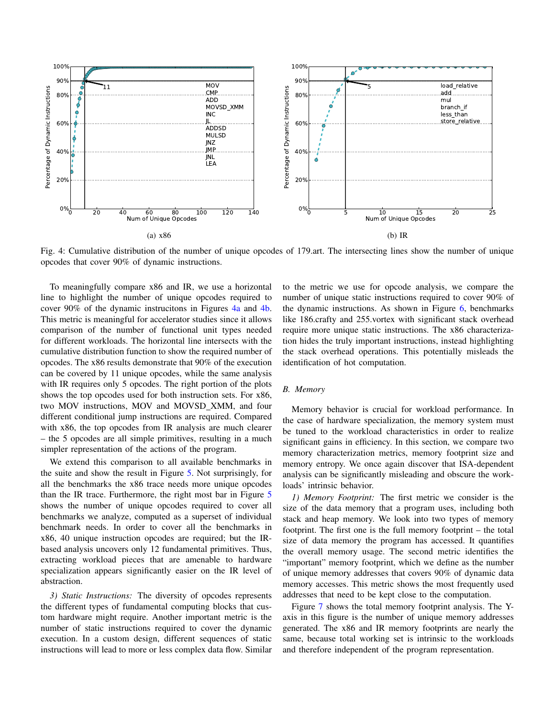<span id="page-5-0"></span>

Fig. 4: Cumulative distribution of the number of unique opcodes of 179.art. The intersecting lines show the number of unique opcodes that cover 90% of dynamic instructions.

To meaningfully compare x86 and IR, we use a horizontal line to highlight the number of unique opcodes required to cover 90% of the dynamic instrucitons in Figures [4a](#page-5-0) and [4b.](#page-5-0) This metric is meaningful for accelerator studies since it allows comparison of the number of functional unit types needed for different workloads. The horizontal line intersects with the cumulative distribution function to show the required number of opcodes. The x86 results demonstrate that 90% of the execution can be covered by 11 unique opcodes, while the same analysis with IR requires only 5 opcodes. The right portion of the plots shows the top opcodes used for both instruction sets. For x86, two MOV instructions, MOV and MOVSD\_XMM, and four different conditional jump instructions are required. Compared with x86, the top opcodes from IR analysis are much clearer – the 5 opcodes are all simple primitives, resulting in a much simpler representation of the actions of the program.

We extend this comparison to all available benchmarks in the suite and show the result in Figure [5.](#page-6-0) Not surprisingly, for all the benchmarks the x86 trace needs more unique opcodes than the IR trace. Furthermore, the right most bar in Figure [5](#page-6-0) shows the number of unique opcodes required to cover all benchmarks we analyze, computed as a superset of individual benchmark needs. In order to cover all the benchmarks in x86, 40 unique instruction opcodes are required; but the IRbased analysis uncovers only 12 fundamental primitives. Thus, extracting workload pieces that are amenable to hardware specialization appears significantly easier on the IR level of abstraction.

*3) Static Instructions:* The diversity of opcodes represents the different types of fundamental computing blocks that custom hardware might require. Another important metric is the number of static instructions required to cover the dynamic execution. In a custom design, different sequences of static instructions will lead to more or less complex data flow. Similar to the metric we use for opcode analysis, we compare the number of unique static instructions required to cover 90% of the dynamic instructions. As shown in Figure [6,](#page-6-0) benchmarks like 186.crafty and 255.vortex with significant stack overhead require more unique static instructions. The x86 characterization hides the truly important instructions, instead highlighting the stack overhead operations. This potentially misleads the identification of hot computation.

# *B. Memory*

Memory behavior is crucial for workload performance. In the case of hardware specialization, the memory system must be tuned to the workload characteristics in order to realize significant gains in efficiency. In this section, we compare two memory characterization metrics, memory footprint size and memory entropy. We once again discover that ISA-dependent analysis can be significantly misleading and obscure the workloads' intrinsic behavior.

*1) Memory Footprint:* The first metric we consider is the size of the data memory that a program uses, including both stack and heap memory. We look into two types of memory footprint. The first one is the full memory footprint – the total size of data memory the program has accessed. It quantifies the overall memory usage. The second metric identifies the "important" memory footprint, which we define as the number of unique memory addresses that covers 90% of dynamic data memory accesses. This metric shows the most frequently used addresses that need to be kept close to the computation.

Figure [7](#page-7-0) shows the total memory footprint analysis. The Yaxis in this figure is the number of unique memory addresses generated. The x86 and IR memory footprints are nearly the same, because total working set is intrinsic to the workloads and therefore independent of the program representation.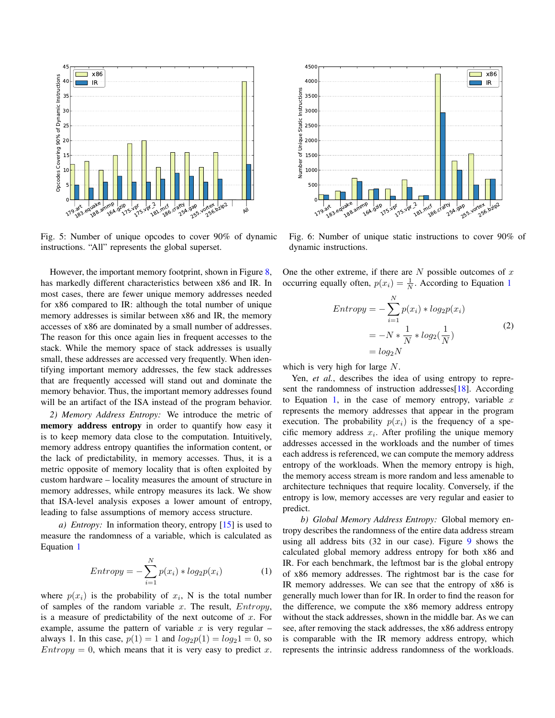<span id="page-6-0"></span>

Fig. 5: Number of unique opcodes to cover 90% of dynamic instructions. "All" represents the global superset.

However, the important memory footprint, shown in Figure [8,](#page-7-0) has markedly different characteristics between x86 and IR. In most cases, there are fewer unique memory addresses needed for x86 compared to IR: although the total number of unique memory addresses is similar between x86 and IR, the memory accesses of x86 are dominated by a small number of addresses. The reason for this once again lies in frequent accesses to the stack. While the memory space of stack addresses is usually small, these addresses are accessed very frequently. When identifying important memory addresses, the few stack addresses that are frequently accessed will stand out and dominate the memory behavior. Thus, the important memory addresses found will be an artifact of the ISA instead of the program behavior.

*2) Memory Address Entropy:* We introduce the metric of memory address entropy in order to quantify how easy it is to keep memory data close to the computation. Intuitively, memory address entropy quantifies the information content, or the lack of predictability, in memory accesses. Thus, it is a metric opposite of memory locality that is often exploited by custom hardware – locality measures the amount of structure in memory addresses, while entropy measures its lack. We show that ISA-level analysis exposes a lower amount of entropy, leading to false assumptions of memory access structure.

*a) Entropy:* In information theory, entropy [\[15\]](#page-10-9) is used to measure the randomness of a variable, which is calculated as Equation [1](#page-6-1)

<span id="page-6-1"></span>
$$
Entropy = -\sum_{i=1}^{N} p(x_i) * log_2 p(x_i)
$$
 (1)

where  $p(x_i)$  is the probability of  $x_i$ , N is the total number of samples of the random variable  $x$ . The result,  $Entropy$ , is a measure of predictability of the next outcome of  $x$ . For example, assume the pattern of variable  $x$  is very regular  $$ always 1. In this case,  $p(1) = 1$  and  $log_2 p(1) = log_2 1 = 0$ , so  $Entropy = 0$ , which means that it is very easy to predict x.



Fig. 6: Number of unique static instructions to cover 90% of dynamic instructions.

One the other extreme, if there are  $N$  possible outcomes of  $x$ occurring equally often,  $p(x_i) = \frac{1}{N}$  $p(x_i) = \frac{1}{N}$  $p(x_i) = \frac{1}{N}$ . According to Equation 1

$$
Entropy = -\sum_{i=1}^{N} p(x_i) * log_2 p(x_i)
$$

$$
= -N * \frac{1}{N} * log_2(\frac{1}{N})
$$

$$
= log_2 N \qquad (2)
$$

which is very high for large N.

Yen, *et al.*, describes the idea of using entropy to repre-sent the randomness of instruction addresses[\[18\]](#page-10-10). According to Equation [1,](#page-6-1) in the case of memory entropy, variable  $x$ represents the memory addresses that appear in the program execution. The probability  $p(x_i)$  is the frequency of a specific memory address  $x_i$ . After profiling the unique memory addresses accessed in the workloads and the number of times each address is referenced, we can compute the memory address entropy of the workloads. When the memory entropy is high, the memory access stream is more random and less amenable to architecture techniques that require locality. Conversely, if the entropy is low, memory accesses are very regular and easier to predict.

*b) Global Memory Address Entropy:* Global memory entropy describes the randomness of the entire data address stream using all address bits (32 in our case). Figure [9](#page-7-1) shows the calculated global memory address entropy for both x86 and IR. For each benchmark, the leftmost bar is the global entropy of x86 memory addresses. The rightmost bar is the case for IR memory addresses. We can see that the entropy of x86 is generally much lower than for IR. In order to find the reason for the difference, we compute the x86 memory address entropy without the stack addresses, shown in the middle bar. As we can see, after removing the stack addresses, the x86 address entropy is comparable with the IR memory address entropy, which represents the intrinsic address randomness of the workloads.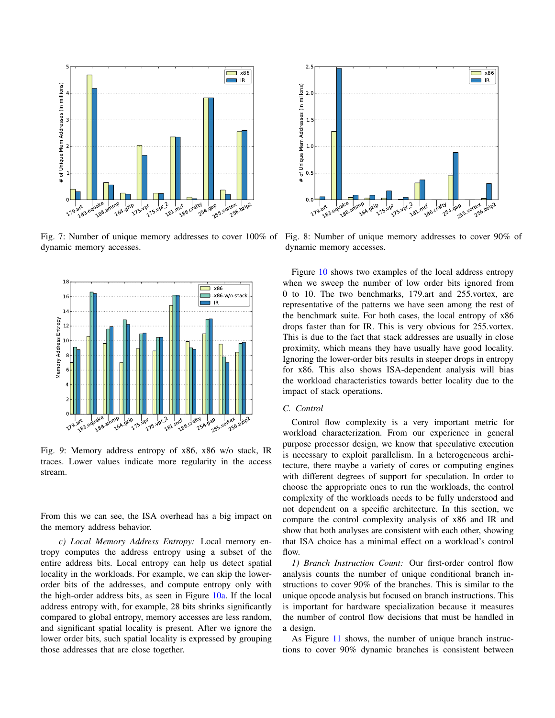<span id="page-7-0"></span>

Fig. 7: Number of unique memory addresses to cover 100% of dynamic memory accesses.

<span id="page-7-1"></span>

Fig. 9: Memory address entropy of x86, x86 w/o stack, IR traces. Lower values indicate more regularity in the access stream.

From this we can see, the ISA overhead has a big impact on the memory address behavior.

*c) Local Memory Address Entropy:* Local memory entropy computes the address entropy using a subset of the entire address bits. Local entropy can help us detect spatial locality in the workloads. For example, we can skip the lowerorder bits of the addresses, and compute entropy only with the high-order address bits, as seen in Figure [10a.](#page-8-0) If the local address entropy with, for example, 28 bits shrinks significantly compared to global entropy, memory accesses are less random, and significant spatial locality is present. After we ignore the lower order bits, such spatial locality is expressed by grouping those addresses that are close together.



Fig. 8: Number of unique memory addresses to cover 90% of dynamic memory accesses.

Figure [10](#page-8-0) shows two examples of the local address entropy when we sweep the number of low order bits ignored from 0 to 10. The two benchmarks, 179.art and 255.vortex, are representative of the patterns we have seen among the rest of the benchmark suite. For both cases, the local entropy of x86 drops faster than for IR. This is very obvious for 255.vortex. This is due to the fact that stack addresses are usually in close proximity, which means they have usually have good locality. Ignoring the lower-order bits results in steeper drops in entropy for x86. This also shows ISA-dependent analysis will bias the workload characteristics towards better locality due to the impact of stack operations.

## *C. Control*

Control flow complexity is a very important metric for workload characterization. From our experience in general purpose processor design, we know that speculative execution is necessary to exploit parallelism. In a heterogeneous architecture, there maybe a variety of cores or computing engines with different degrees of support for speculation. In order to choose the appropriate ones to run the workloads, the control complexity of the workloads needs to be fully understood and not dependent on a specific architecture. In this section, we compare the control complexity analysis of x86 and IR and show that both analyses are consistent with each other, showing that ISA choice has a minimal effect on a workload's control flow.

*1) Branch Instruction Count:* Our first-order control flow analysis counts the number of unique conditional branch instructions to cover 90% of the branches. This is similar to the unique opcode analysis but focused on branch instructions. This is important for hardware specialization because it measures the number of control flow decisions that must be handled in a design.

As Figure [11](#page-9-0) shows, the number of unique branch instructions to cover 90% dynamic branches is consistent between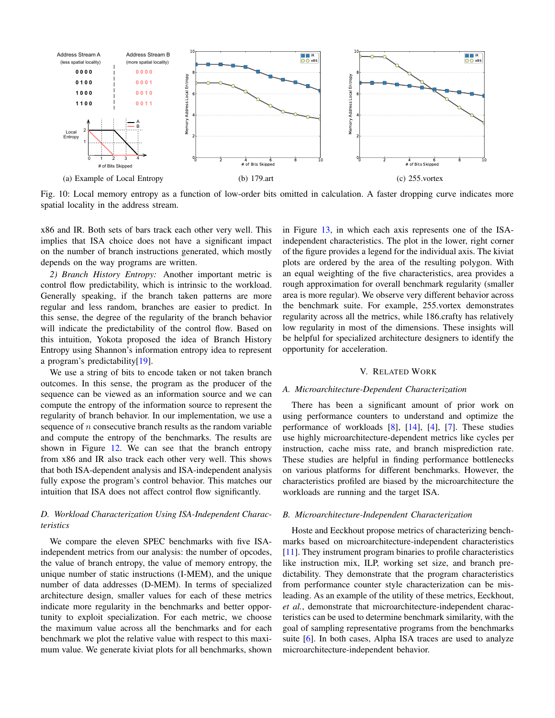<span id="page-8-0"></span>

Fig. 10: Local memory entropy as a function of low-order bits omitted in calculation. A faster dropping curve indicates more spatial locality in the address stream.

x86 and IR. Both sets of bars track each other very well. This implies that ISA choice does not have a significant impact on the number of branch instructions generated, which mostly depends on the way programs are written.

*2) Branch History Entropy:* Another important metric is control flow predictability, which is intrinsic to the workload. Generally speaking, if the branch taken patterns are more regular and less random, branches are easier to predict. In this sense, the degree of the regularity of the branch behavior will indicate the predictability of the control flow. Based on this intuition, Yokota proposed the idea of Branch History Entropy using Shannon's information entropy idea to represent a program's predictability[\[19\]](#page-10-11).

We use a string of bits to encode taken or not taken branch outcomes. In this sense, the program as the producer of the sequence can be viewed as an information source and we can compute the entropy of the information source to represent the regularity of branch behavior. In our implementation, we use a sequence of  $n$  consecutive branch results as the random variable and compute the entropy of the benchmarks. The results are shown in Figure [12.](#page-9-0) We can see that the branch entropy from x86 and IR also track each other very well. This shows that both ISA-dependent analysis and ISA-independent analysis fully expose the program's control behavior. This matches our intuition that ISA does not affect control flow significantly.

# *D. Workload Characterization Using ISA-Independent Characteristics*

We compare the eleven SPEC benchmarks with five ISAindependent metrics from our analysis: the number of opcodes, the value of branch entropy, the value of memory entropy, the unique number of static instructions (I-MEM), and the unique number of data addresses (D-MEM). In terms of specialized architecture design, smaller values for each of these metrics indicate more regularity in the benchmarks and better opportunity to exploit specialization. For each metric, we choose the maximum value across all the benchmarks and for each benchmark we plot the relative value with respect to this maximum value. We generate kiviat plots for all benchmarks, shown in Figure [13,](#page-10-12) in which each axis represents one of the ISAindependent characteristics. The plot in the lower, right corner of the figure provides a legend for the individual axis. The kiviat plots are ordered by the area of the resulting polygon. With an equal weighting of the five characteristics, area provides a rough approximation for overall benchmark regularity (smaller area is more regular). We observe very different behavior across the benchmark suite. For example, 255.vortex demonstrates regularity across all the metrics, while 186.crafty has relatively low regularity in most of the dimensions. These insights will be helpful for specialized architecture designers to identify the opportunity for acceleration.

## V. RELATED WORK

#### *A. Microarchitecture-Dependent Characterization*

There has been a significant amount of prior work on using performance counters to understand and optimize the performance of workloads  $[8]$ ,  $[14]$ ,  $[4]$ ,  $[7]$ . These studies use highly microarchitecture-dependent metrics like cycles per instruction, cache miss rate, and branch misprediction rate. These studies are helpful in finding performance bottlenecks on various platforms for different benchmarks. However, the characteristics profiled are biased by the microarchitecture the workloads are running and the target ISA.

#### *B. Microarchitecture-Independent Characterization*

Hoste and Eeckhout propose metrics of characterizing benchmarks based on microarchitecture-independent characteristics [\[11\]](#page-10-0). They instrument program binaries to profile characteristics like instruction mix, ILP, working set size, and branch predictability. They demonstrate that the program characteristics from performance counter style characterization can be misleading. As an example of the utility of these metrics, Eeckhout, *et al.*, demonstrate that microarchitecture-independent characteristics can be used to determine benchmark similarity, with the goal of sampling representative programs from the benchmarks suite [\[6\]](#page-10-17). In both cases, Alpha ISA traces are used to analyze microarchitecture-independent behavior.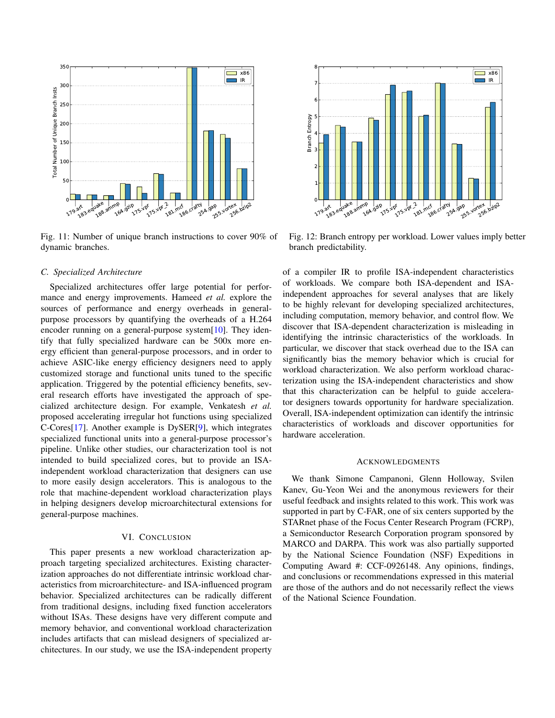<span id="page-9-0"></span>

Fig. 11: Number of unique branch instructions to cover 90% of dynamic branches.

#### *C. Specialized Architecture*

Specialized architectures offer large potential for performance and energy improvements. Hameed *et al.* explore the sources of performance and energy overheads in generalpurpose processors by quantifying the overheads of a H.264 encoder running on a general-purpose system[\[10\]](#page-10-18). They identify that fully specialized hardware can be 500x more energy efficient than general-purpose processors, and in order to achieve ASIC-like energy efficiency designers need to apply customized storage and functional units tuned to the specific application. Triggered by the potential efficiency benefits, several research efforts have investigated the approach of specialized architecture design. For example, Venkatesh *et al.* proposed accelerating irregular hot functions using specialized C-Cores[\[17\]](#page-10-8). Another example is DySER[\[9\]](#page-10-19), which integrates specialized functional units into a general-purpose processor's pipeline. Unlike other studies, our characterization tool is not intended to build specialized cores, but to provide an ISAindependent workload characterization that designers can use to more easily design accelerators. This is analogous to the role that machine-dependent workload characterization plays in helping designers develop microarchitectural extensions for general-purpose machines.

#### VI. CONCLUSION

This paper presents a new workload characterization approach targeting specialized architectures. Existing characterization approaches do not differentiate intrinsic workload characteristics from microarchitecture- and ISA-influenced program behavior. Specialized architectures can be radically different from traditional designs, including fixed function accelerators without ISAs. These designs have very different compute and memory behavior, and conventional workload characterization includes artifacts that can mislead designers of specialized architectures. In our study, we use the ISA-independent property



Fig. 12: Branch entropy per workload. Lower values imply better branch predictability.

of a compiler IR to profile ISA-independent characteristics of workloads. We compare both ISA-dependent and ISAindependent approaches for several analyses that are likely to be highly relevant for developing specialized architectures, including computation, memory behavior, and control flow. We discover that ISA-dependent characterization is misleading in identifying the intrinsic characteristics of the workloads. In particular, we discover that stack overhead due to the ISA can significantly bias the memory behavior which is crucial for workload characterization. We also perform workload characterization using the ISA-independent characteristics and show that this characterization can be helpful to guide accelerator designers towards opportunity for hardware specialization. Overall, ISA-independent optimization can identify the intrinsic characteristics of workloads and discover opportunities for hardware acceleration.

#### ACKNOWLEDGMENTS

We thank Simone Campanoni, Glenn Holloway, Svilen Kanev, Gu-Yeon Wei and the anonymous reviewers for their useful feedback and insights related to this work. This work was supported in part by C-FAR, one of six centers supported by the STARnet phase of the Focus Center Research Program (FCRP), a Semiconductor Research Corporation program sponsored by MARCO and DARPA. This work was also partially supported by the National Science Foundation (NSF) Expeditions in Computing Award #: CCF-0926148. Any opinions, findings, and conclusions or recommendations expressed in this material are those of the authors and do not necessarily reflect the views of the National Science Foundation.